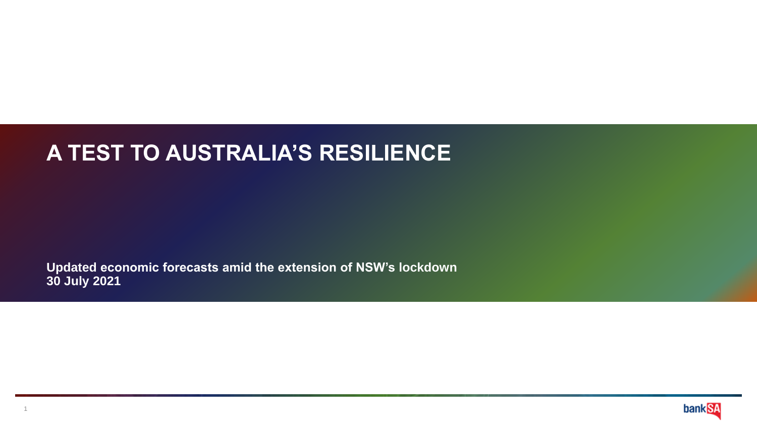# **A TEST TO AUSTRALIA'S RESILIENCE**

**Updated economic forecasts amid the extension of NSW's lockdown 30 July 2021**

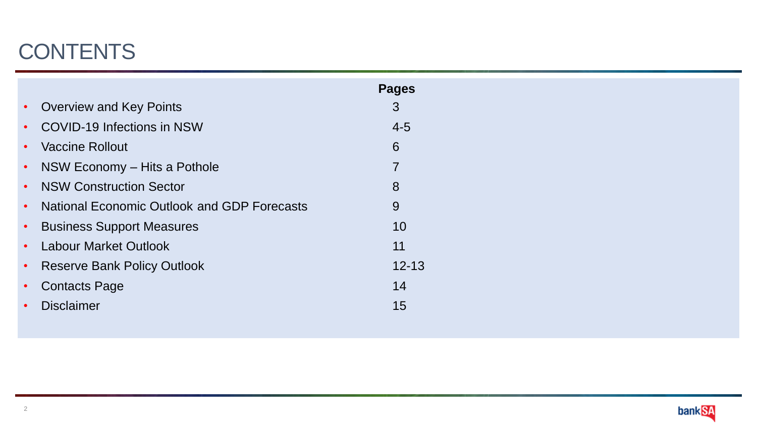# **CONTENTS**

|           |                                                    | <b>Pages</b> |
|-----------|----------------------------------------------------|--------------|
| $\bullet$ | <b>Overview and Key Points</b>                     | 3            |
| $\bullet$ | <b>COVID-19 Infections in NSW</b>                  | $4 - 5$      |
| $\bullet$ | <b>Vaccine Rollout</b>                             | 6            |
| $\bullet$ | NSW Economy – Hits a Pothole                       | 7            |
| $\bullet$ | <b>NSW Construction Sector</b>                     | 8            |
| $\bullet$ | <b>National Economic Outlook and GDP Forecasts</b> | 9            |
| $\bullet$ | <b>Business Support Measures</b>                   | 10           |
| $\bullet$ | <b>Labour Market Outlook</b>                       | 11           |
| $\bullet$ | <b>Reserve Bank Policy Outlook</b>                 | $12 - 13$    |
| $\bullet$ | <b>Contacts Page</b>                               | 14           |
|           | <b>Disclaimer</b>                                  | 15           |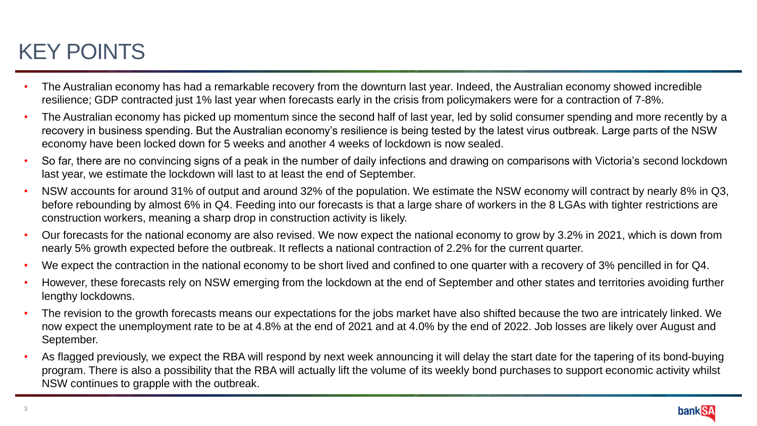# KEY POINTS

- The Australian economy has had a remarkable recovery from the downturn last year. Indeed, the Australian economy showed incredible resilience; GDP contracted just 1% last year when forecasts early in the crisis from policymakers were for a contraction of 7-8%.
- The Australian economy has picked up momentum since the second half of last year, led by solid consumer spending and more recently by a recovery in business spending. But the Australian economy's resilience is being tested by the latest virus outbreak. Large parts of the NSW economy have been locked down for 5 weeks and another 4 weeks of lockdown is now sealed.
- So far, there are no convincing signs of a peak in the number of daily infections and drawing on comparisons with Victoria's second lockdown last year, we estimate the lockdown will last to at least the end of September.
- NSW accounts for around 31% of output and around 32% of the population. We estimate the NSW economy will contract by nearly 8% in Q3, before rebounding by almost 6% in Q4. Feeding into our forecasts is that a large share of workers in the 8 LGAs with tighter restrictions are construction workers, meaning a sharp drop in construction activity is likely.
- Our forecasts for the national economy are also revised. We now expect the national economy to grow by 3.2% in 2021, which is down from nearly 5% growth expected before the outbreak. It reflects a national contraction of 2.2% for the current quarter.
- We expect the contraction in the national economy to be short lived and confined to one quarter with a recovery of 3% pencilled in for Q4.
- However, these forecasts rely on NSW emerging from the lockdown at the end of September and other states and territories avoiding further lengthy lockdowns.
- The revision to the growth forecasts means our expectations for the jobs market have also shifted because the two are intricately linked. We now expect the unemployment rate to be at 4.8% at the end of 2021 and at 4.0% by the end of 2022. Job losses are likely over August and September.
- As flagged previously, we expect the RBA will respond by next week announcing it will delay the start date for the tapering of its bond-buying program. There is also a possibility that the RBA will actually lift the volume of its weekly bond purchases to support economic activity whilst NSW continues to grapple with the outbreak.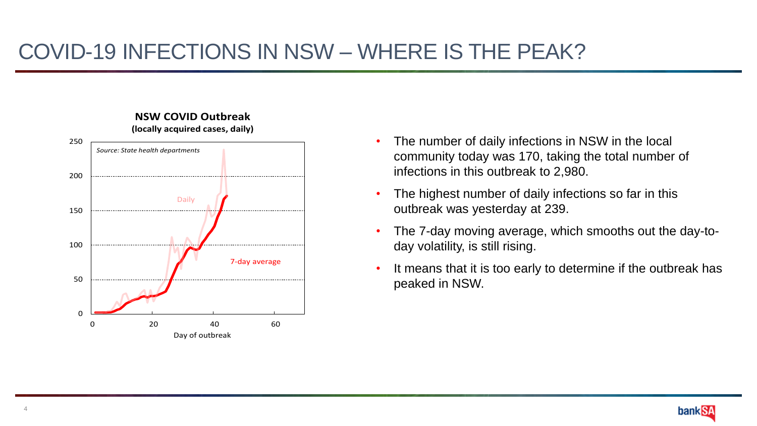

- **NSW COVID Outbreak (locally acquired cases, daily)**
- The number of daily infections in NSW in the local community today was 170, taking the total number of infections in this outbreak to 2,980.
- The highest number of daily infections so far in this outbreak was yesterday at 239.
- The 7-day moving average, which smooths out the day-today volatility, is still rising.
- It means that it is too early to determine if the outbreak has peaked in NSW.

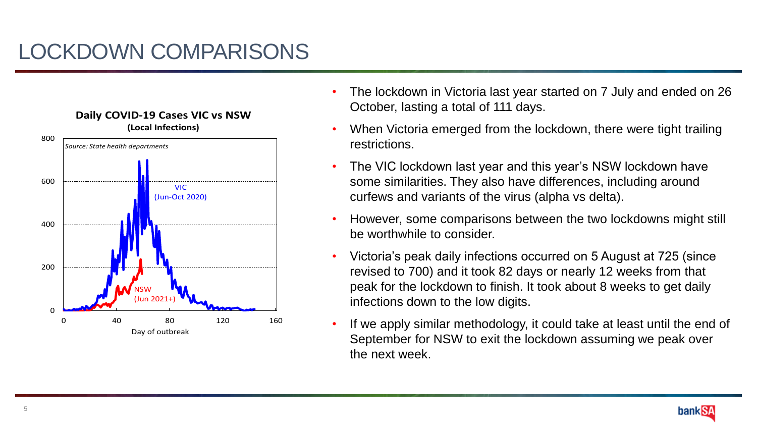

- The lockdown in Victoria last year started on 7 July and ended on 26 October, lasting a total of 111 days.
- When Victoria emerged from the lockdown, there were tight trailing restrictions.
- The VIC lockdown last year and this year's NSW lockdown have some similarities. They also have differences, including around curfews and variants of the virus (alpha vs delta).
- However, some comparisons between the two lockdowns might still be worthwhile to consider.
- Victoria's peak daily infections occurred on 5 August at 725 (since revised to 700) and it took 82 days or nearly 12 weeks from that peak for the lockdown to finish. It took about 8 weeks to get daily infections down to the low digits.
- If we apply similar methodology, it could take at least until the end of September for NSW to exit the lockdown assuming we peak over the next week.

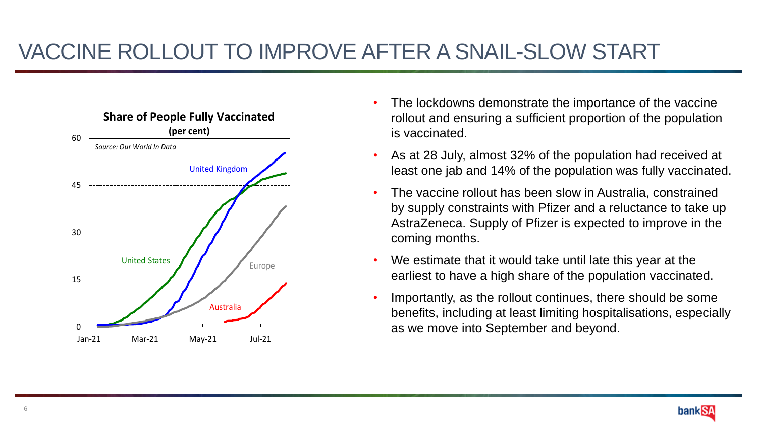# VACCINE ROLLOUT TO IMPROVE AFTER A SNAIL-SLOW START



- The lockdowns demonstrate the importance of the vaccine rollout and ensuring a sufficient proportion of the population is vaccinated.
- As at 28 July, almost 32% of the population had received at least one jab and 14% of the population was fully vaccinated.
- The vaccine rollout has been slow in Australia, constrained by supply constraints with Pfizer and a reluctance to take up AstraZeneca. Supply of Pfizer is expected to improve in the coming months.
- We estimate that it would take until late this year at the earliest to have a high share of the population vaccinated.
- Importantly, as the rollout continues, there should be some benefits, including at least limiting hospitalisations, especially as we move into September and beyond.

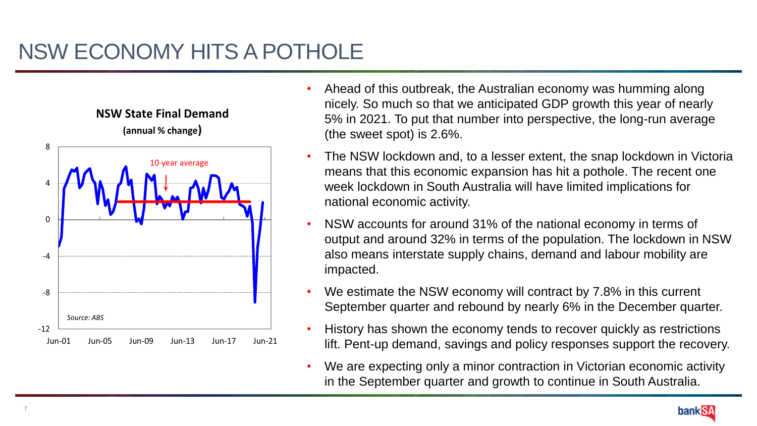

- Ahead of this outbreak, the Australian economy was humming along nicely. So much so that we anticipated GDP growth this year of nearly 5% in 2021. To put that number into perspective, the long-run average (the sweet spot) is 2.6%.
- The NSW lockdown and, to a lesser extent, the snap lockdown in Victoria means that this economic expansion has hit a pothole. The recent one week lockdown in South Australia will have limited implications for national economic activity.
- NSW accounts for around 31% of the national economy in terms of output and around 32% in terms of the population. The lockdown in NSW also means interstate supply chains, demand and labour mobility are impacted.
- We estimate the NSW economy will contract by 7.8% in this current September quarter and rebound by nearly 6% in the December quarter.
- History has shown the economy tends to recover quickly as restrictions lift. Pent-up demand, savings and policy responses support the recovery.
- We are expecting only a minor contraction in Victorian economic activity in the September quarter and growth to continue in South Australia.

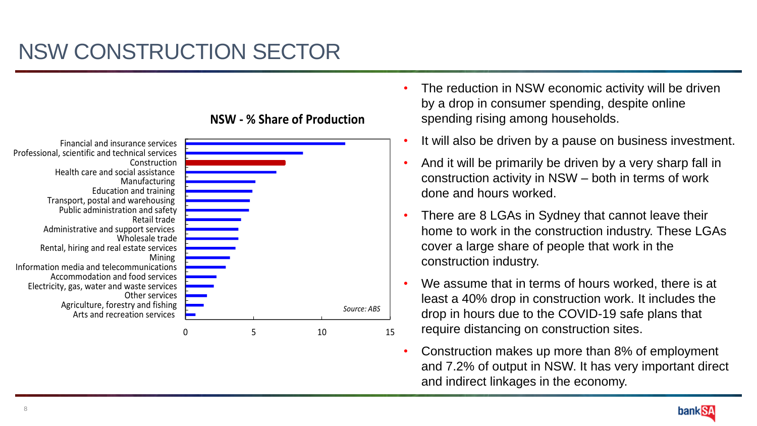

#### **NSW - % Share of Production**

- The reduction in NSW economic activity will be driven by a drop in consumer spending, despite online spending rising among households.
- It will also be driven by a pause on business investment.
- And it will be primarily be driven by a very sharp fall in construction activity in NSW – both in terms of work done and hours worked.
- There are 8 LGAs in Sydney that cannot leave their home to work in the construction industry. These LGAs cover a large share of people that work in the construction industry.
- We assume that in terms of hours worked, there is at least a 40% drop in construction work. It includes the drop in hours due to the COVID-19 safe plans that require distancing on construction sites.
- Construction makes up more than 8% of employment and 7.2% of output in NSW. It has very important direct and indirect linkages in the economy.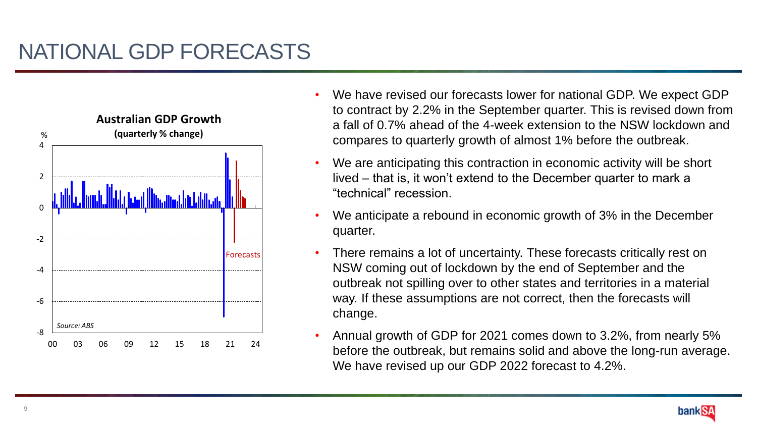

- We have revised our forecasts lower for national GDP. We expect GDP to contract by 2.2% in the September quarter. This is revised down from a fall of 0.7% ahead of the 4-week extension to the NSW lockdown and compares to quarterly growth of almost 1% before the outbreak.
- We are anticipating this contraction in economic activity will be short lived – that is, it won't extend to the December quarter to mark a "technical" recession.
- We anticipate a rebound in economic growth of 3% in the December quarter.
- There remains a lot of uncertainty. These forecasts critically rest on NSW coming out of lockdown by the end of September and the outbreak not spilling over to other states and territories in a material way. If these assumptions are not correct, then the forecasts will change.
- Annual growth of GDP for 2021 comes down to 3.2%, from nearly 5% before the outbreak, but remains solid and above the long-run average. We have revised up our GDP 2022 forecast to 4.2%.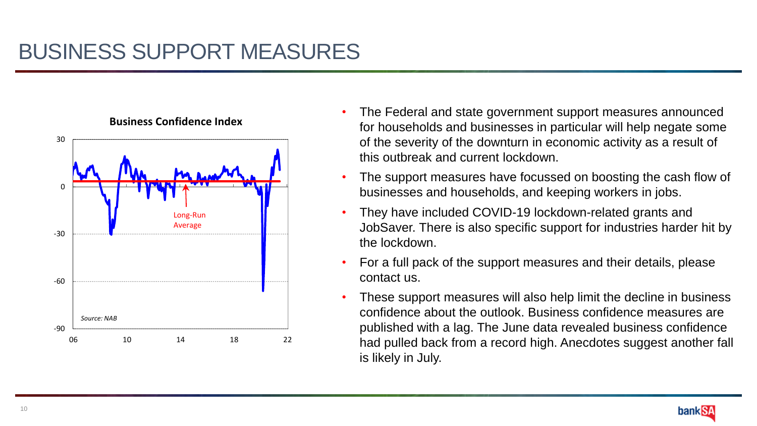

- The Federal and state government support measures announced for households and businesses in particular will help negate some of the severity of the downturn in economic activity as a result of this outbreak and current lockdown.
- The support measures have focussed on boosting the cash flow of businesses and households, and keeping workers in jobs.
- They have included COVID-19 lockdown-related grants and JobSaver. There is also specific support for industries harder hit by the lockdown.
- For a full pack of the support measures and their details, please contact us.
- These support measures will also help limit the decline in business confidence about the outlook. Business confidence measures are published with a lag. The June data revealed business confidence had pulled back from a record high. Anecdotes suggest another fall is likely in July.

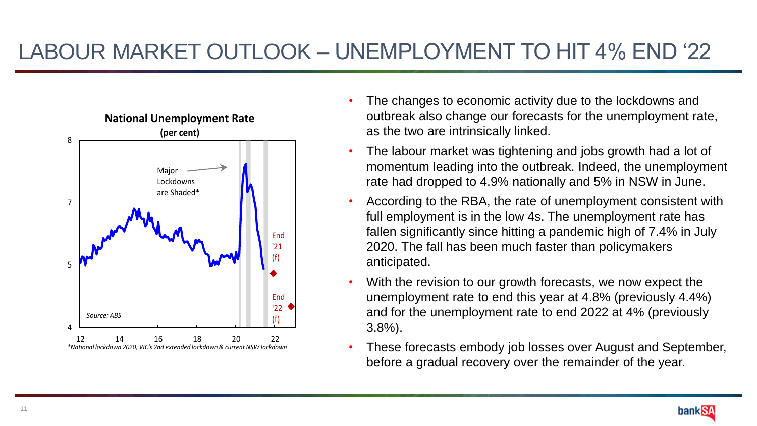### LABOUR MARKET OUTLOOK – UNEMPLOYMENT TO HIT 4% END '22



- The changes to economic activity due to the lockdowns and outbreak also change our forecasts for the unemployment rate, as the two are intrinsically linked.
- The labour market was tightening and jobs growth had a lot of momentum leading into the outbreak. Indeed, the unemployment rate had dropped to 4.9% nationally and 5% in NSW in June.
- According to the RBA, the rate of unemployment consistent with full employment is in the low 4s. The unemployment rate has fallen significantly since hitting a pandemic high of 7.4% in July 2020. The fall has been much faster than policymakers anticipated.
- With the revision to our growth forecasts, we now expect the unemployment rate to end this year at 4.8% (previously 4.4%) and for the unemployment rate to end 2022 at 4% (previously 3.8%).
- These forecasts embody job losses over August and September, before a gradual recovery over the remainder of the year.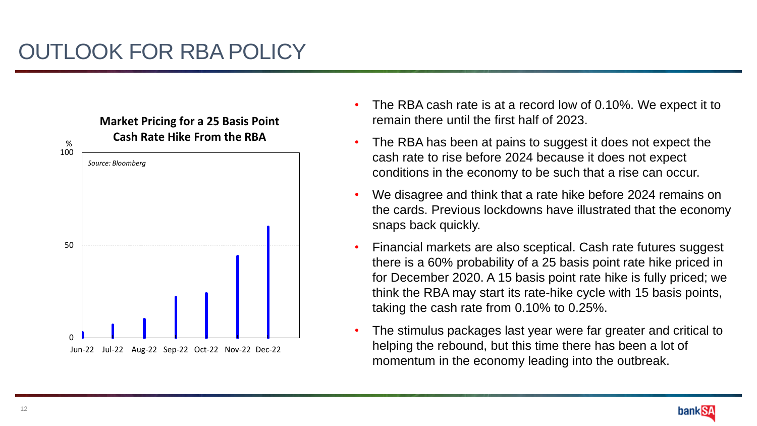

- The RBA cash rate is at a record low of 0.10%. We expect it to remain there until the first half of 2023.
- The RBA has been at pains to suggest it does not expect the cash rate to rise before 2024 because it does not expect conditions in the economy to be such that a rise can occur.
- We disagree and think that a rate hike before 2024 remains on the cards. Previous lockdowns have illustrated that the economy snaps back quickly.
- Financial markets are also sceptical. Cash rate futures suggest there is a 60% probability of a 25 basis point rate hike priced in for December 2020. A 15 basis point rate hike is fully priced; we think the RBA may start its rate-hike cycle with 15 basis points, taking the cash rate from 0.10% to 0.25%.
- The stimulus packages last year were far greater and critical to helping the rebound, but this time there has been a lot of momentum in the economy leading into the outbreak.

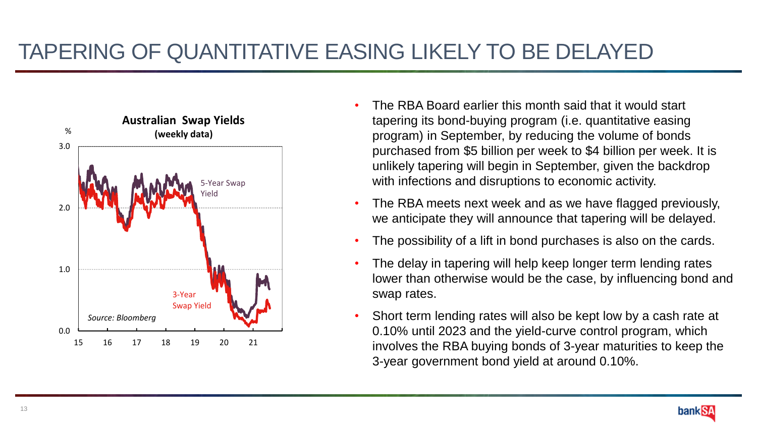### TAPERING OF QUANTITATIVE EASING LIKELY TO BE DELAYED



- The RBA Board earlier this month said that it would start tapering its bond-buying program (i.e. quantitative easing program) in September, by reducing the volume of bonds purchased from \$5 billion per week to \$4 billion per week. It is unlikely tapering will begin in September, given the backdrop with infections and disruptions to economic activity.
- The RBA meets next week and as we have flagged previously, we anticipate they will announce that tapering will be delayed.
- The possibility of a lift in bond purchases is also on the cards.
- The delay in tapering will help keep longer term lending rates lower than otherwise would be the case, by influencing bond and swap rates.
- Short term lending rates will also be kept low by a cash rate at 0.10% until 2023 and the yield-curve control program, which involves the RBA buying bonds of 3-year maturities to keep the 3-year government bond yield at around 0.10%.

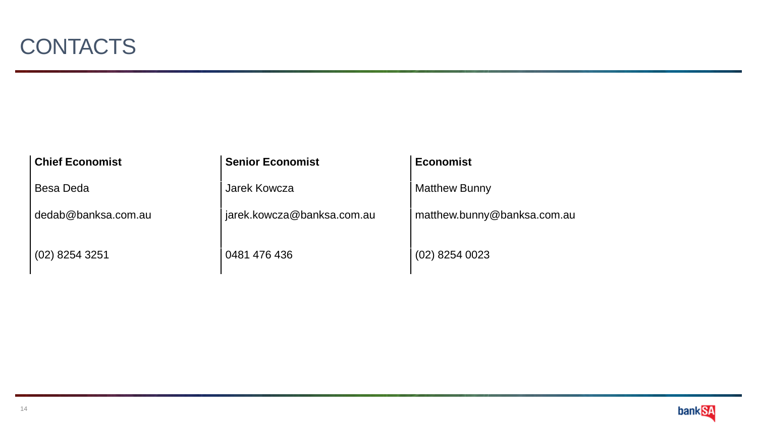| <b>Chief Economist</b> | <b>Senior Economist</b>    | <b>Economist</b>            |
|------------------------|----------------------------|-----------------------------|
| Besa Deda              | Jarek Kowcza               | <b>Matthew Bunny</b>        |
| dedab@banksa.com.au    | jarek.kowcza@banksa.com.au | matthew.bunny@banksa.com.au |
| $(02)$ 8254 3251       | 0481 476 436               | $(02)$ 8254 0023            |